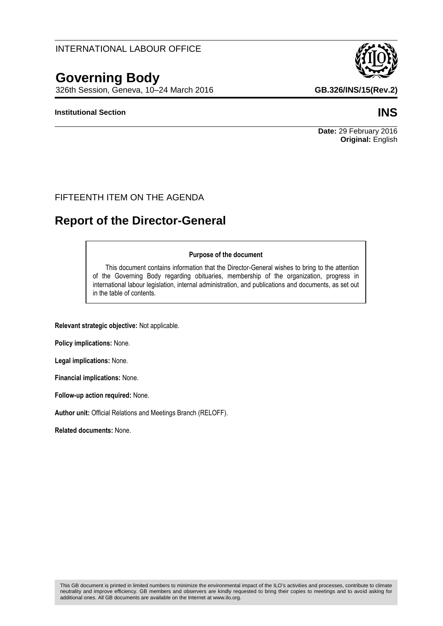neutrality and improve efficiency. GB members and observers are kindly requested to bring their copies to meetings and to avoid asking for

# INTERNATIONAL LABOUR OFFICE

# **Governing Body**

326th Session, Geneva, 10–24 March 2016 **GB.326/INS/15(Rev.2)**

#### **Institutional Section INS**

### FIFTEENTH ITEM ON THE AGENDA

# **Report of the Director-General**

#### **Purpose of the document**

This document contains information that the Director-General wishes to bring to the attention of the Governing Body regarding obituaries, membership of the organization, progress in international labour legislation, internal administration, and publications and documents, as set out in the table of contents.

**Relevant strategic objective:** Not applicable.

**Policy implications:** None.

**Legal implications:** None.

**Financial implications:** None.

**Follow-up action required:** None.

**Author unit:** Official Relations and Meetings Branch (RELOFF).

additional ones. All GB documents are available on the Internet at www.ilo.org.

**Related documents:** None.



**Date:** 29 February 2016 **Original:** English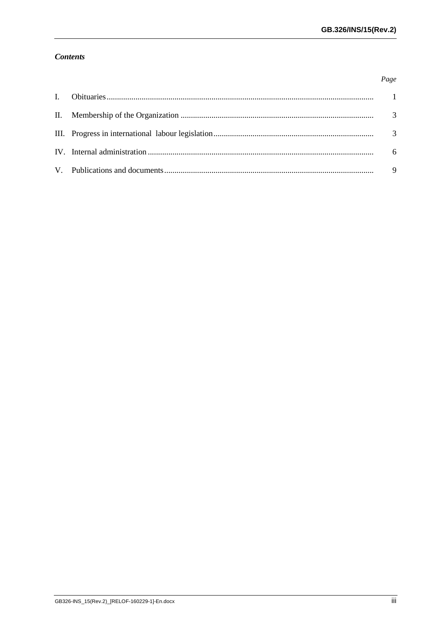Page

## **Contents**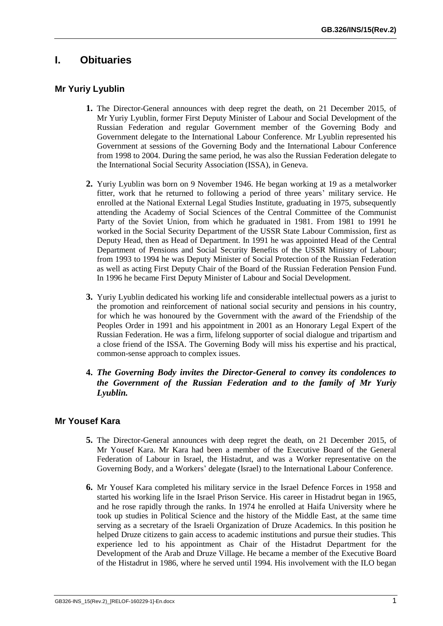# <span id="page-4-0"></span>**I. Obituaries**

# **Mr Yuriy Lyublin**

- **1.** The Director-General announces with deep regret the death, on 21 December 2015, of Mr Yuriy Lyublin, former First Deputy Minister of Labour and Social Development of the Russian Federation and regular Government member of the Governing Body and Government delegate to the International Labour Conference. Mr Lyublin represented his Government at sessions of the Governing Body and the International Labour Conference from 1998 to 2004. During the same period, he was also the Russian Federation delegate to the International Social Security Association (ISSA), in Geneva.
- **2.** Yuriy Lyublin was born on 9 November 1946. He began working at 19 as a metalworker fitter, work that he returned to following a period of three years' military service. He enrolled at the National External Legal Studies Institute, graduating in 1975, subsequently attending the Academy of Social Sciences of the Central Committee of the Communist Party of the Soviet Union, from which he graduated in 1981. From 1981 to 1991 he worked in the Social Security Department of the USSR State Labour Commission, first as Deputy Head, then as Head of Department. In 1991 he was appointed Head of the Central Department of Pensions and Social Security Benefits of the USSR Ministry of Labour; from 1993 to 1994 he was Deputy Minister of Social Protection of the Russian Federation as well as acting First Deputy Chair of the Board of the Russian Federation Pension Fund. In 1996 he became First Deputy Minister of Labour and Social Development.
- **3.** Yuriy Lyublin dedicated his working life and considerable intellectual powers as a jurist to the promotion and reinforcement of national social security and pensions in his country, for which he was honoured by the Government with the award of the Friendship of the Peoples Order in 1991 and his appointment in 2001 as an Honorary Legal Expert of the Russian Federation. He was a firm, lifelong supporter of social dialogue and tripartism and a close friend of the ISSA. The Governing Body will miss his expertise and his practical, common-sense approach to complex issues.
- **4.** *The Governing Body invites the Director-General to convey its condolences to the Government of the Russian Federation and to the family of Mr Yuriy Lyublin.*

# **Mr Yousef Kara**

- **5.** The Director-General announces with deep regret the death, on 21 December 2015, of Mr Yousef Kara. Mr Kara had been a member of the Executive Board of the General Federation of Labour in Israel, the Histadrut, and was a Worker representative on the Governing Body, and a Workers' delegate (Israel) to the International Labour Conference.
- **6.** Mr Yousef Kara completed his military service in the Israel Defence Forces in 1958 and started his working life in the Israel Prison Service. His career in Histadrut began in 1965, and he rose rapidly through the ranks. In 1974 he enrolled at Haifa University where he took up studies in Political Science and the history of the Middle East, at the same time serving as a secretary of the Israeli Organization of Druze Academics. In this position he helped Druze citizens to gain access to academic institutions and pursue their studies. This experience led to his appointment as Chair of the Histadrut Department for the Development of the Arab and Druze Village. He became a member of the Executive Board of the Histadrut in 1986, where he served until 1994. His involvement with the ILO began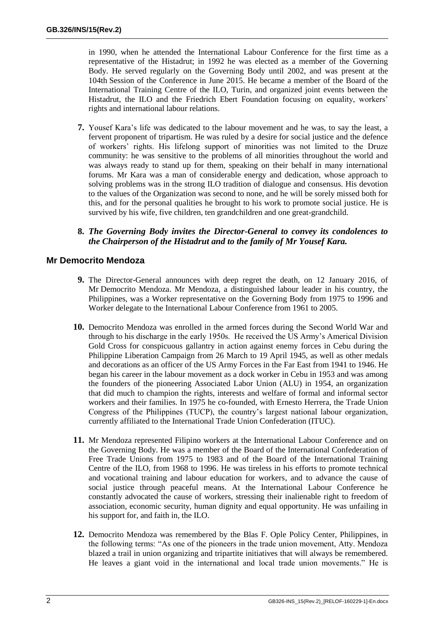in 1990, when he attended the International Labour Conference for the first time as a representative of the Histadrut; in 1992 he was elected as a member of the Governing Body. He served regularly on the Governing Body until 2002, and was present at the 104th Session of the Conference in June 2015. He became a member of the Board of the International Training Centre of the ILO, Turin, and organized joint events between the Histadrut, the ILO and the Friedrich Ebert Foundation focusing on equality, workers' rights and international labour relations.

- **7.** Yousef Kara's life was dedicated to the labour movement and he was, to say the least, a fervent proponent of tripartism. He was ruled by a desire for social justice and the defence of workers' rights. His lifelong support of minorities was not limited to the Druze community: he was sensitive to the problems of all minorities throughout the world and was always ready to stand up for them, speaking on their behalf in many international forums. Mr Kara was a man of considerable energy and dedication, whose approach to solving problems was in the strong ILO tradition of dialogue and consensus. His devotion to the values of the Organization was second to none, and he will be sorely missed both for this, and for the personal qualities he brought to his work to promote social justice. He is survived by his wife, five children, ten grandchildren and one great-grandchild.
- **8.** *The Governing Body invites the Director-General to convey its condolences to the Chairperson of the Histadrut and to the family of Mr Yousef Kara.*

### **Mr Democrito Mendoza**

- **9.** The Director-General announces with deep regret the death, on 12 January 2016, of Mr Democrito Mendoza. Mr Mendoza, a distinguished labour leader in his country, the Philippines, was a Worker representative on the Governing Body from 1975 to 1996 and Worker delegate to the International Labour Conference from 1961 to 2005.
- **10.** Democrito Mendoza was enrolled in the armed forces during the Second World War and through to his discharge in the early 1950s. He received the US Army's Americal Division Gold Cross for conspicuous gallantry in action against enemy forces in Cebu during the Philippine Liberation Campaign from 26 March to 19 April 1945, as well as other medals and decorations as an officer of the US Army Forces in the Far East from 1941 to 1946. He began his career in the labour movement as a dock worker in Cebu in 1953 and was among the founders of the pioneering Associated Labor Union (ALU) in 1954, an organization that did much to champion the rights, interests and welfare of formal and informal sector workers and their families. In 1975 he co-founded, with Ernesto Herrera, the Trade Union Congress of the Philippines (TUCP), the country's largest national labour organization, currently affiliated to the International Trade Union Confederation (ITUC).
- **11.** Mr Mendoza represented Filipino workers at the International Labour Conference and on the Governing Body. He was a member of the Board of the International Confederation of Free Trade Unions from 1975 to 1983 and of the Board of the International Training Centre of the ILO, from 1968 to 1996. He was tireless in his efforts to promote technical and vocational training and labour education for workers, and to advance the cause of social justice through peaceful means. At the International Labour Conference he constantly advocated the cause of workers, stressing their inalienable right to freedom of association, economic security, human dignity and equal opportunity. He was unfailing in his support for, and faith in, the ILO.
- **12.** Democrito Mendoza was remembered by the Blas F. Ople Policy Center, Philippines, in the following terms: "As one of the pioneers in the trade union movement, Atty. Mendoza blazed a trail in union organizing and tripartite initiatives that will always be remembered. He leaves a giant void in the international and local trade union movements." He is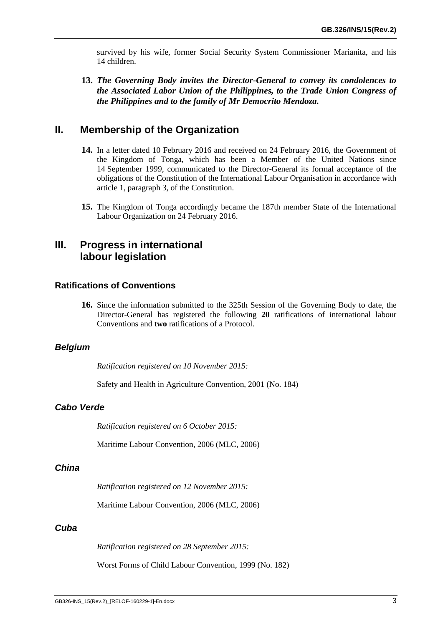survived by his wife, former Social Security System Commissioner Marianita, and his 14 children.

**13.** *The Governing Body invites the Director-General to convey its condolences to the Associated Labor Union of the Philippines, to the Trade Union Congress of the Philippines and to the family of Mr Democrito Mendoza.*

# <span id="page-6-0"></span>**II. Membership of the Organization**

- **14.** In a letter dated 10 February 2016 and received on 24 February 2016, the Government of the Kingdom of Tonga, which has been a Member of the United Nations since 14 September 1999, communicated to the Director-General its formal acceptance of the obligations of the Constitution of the International Labour Organisation in accordance with article 1, paragraph 3, of the Constitution.
- **15.** The Kingdom of Tonga accordingly became the 187th member State of the International Labour Organization on 24 February 2016.

# <span id="page-6-1"></span>**III. Progress in international labour legislation**

#### **Ratifications of Conventions**

**16.** Since the information submitted to the 325th Session of the Governing Body to date, the Director-General has registered the following **20** ratifications of international labour Conventions and **two** ratifications of a Protocol.

#### *Belgium*

*Ratification registered on 10 November 2015:*

Safety and Health in Agriculture Convention, 2001 (No. 184)

#### *Cabo Verde*

*Ratification registered on 6 October 2015:*

Maritime Labour Convention, 2006 (MLC, 2006)

#### *China*

*Ratification registered on 12 November 2015:*

Maritime Labour Convention, 2006 (MLC, 2006)

#### *Cuba*

*Ratification registered on 28 September 2015:*

Worst Forms of Child Labour Convention, 1999 (No. 182)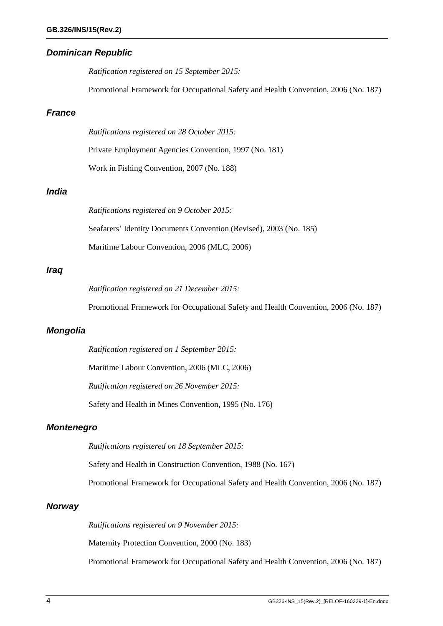#### *Dominican Republic*

*Ratification registered on 15 September 2015:*

Promotional Framework for Occupational Safety and Health Convention, 2006 (No. 187)

### *France*

*Ratifications registered on 28 October 2015:*

Private Employment Agencies Convention, 1997 (No. 181)

Work in Fishing Convention, 2007 (No. 188)

# *India*

*Ratifications registered on 9 October 2015:* Seafarers' Identity Documents Convention (Revised), 2003 (No. 185) Maritime Labour Convention, 2006 (MLC, 2006)

#### *Iraq*

*Ratification registered on 21 December 2015:*

Promotional Framework for Occupational Safety and Health Convention, 2006 (No. 187)

#### *Mongolia*

*Ratification registered on 1 September 2015:*

Maritime Labour Convention, 2006 (MLC, 2006)

*Ratification registered on 26 November 2015:*

Safety and Health in Mines Convention, 1995 (No. 176)

#### *Montenegro*

*Ratifications registered on 18 September 2015:*

Safety and Health in Construction Convention, 1988 (No. 167)

Promotional Framework for Occupational Safety and Health Convention, 2006 (No. 187)

#### *Norway*

*Ratifications registered on 9 November 2015:*

Maternity Protection Convention, 2000 (No. 183)

Promotional Framework for Occupational Safety and Health Convention, 2006 (No. 187)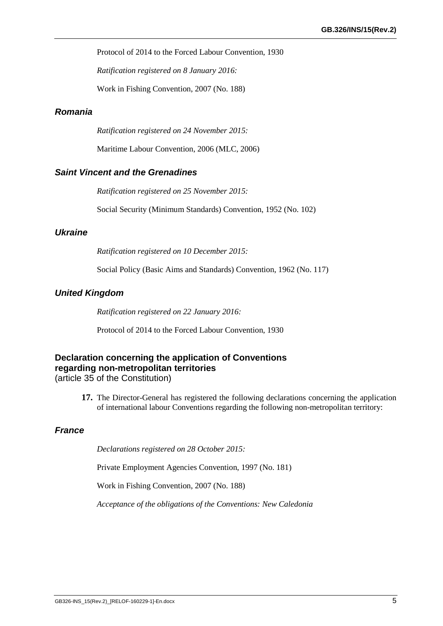Protocol of 2014 to the Forced Labour Convention, 1930

*Ratification registered on 8 January 2016:*

Work in Fishing Convention, 2007 (No. 188)

# *Romania*

*Ratification registered on 24 November 2015:*

Maritime Labour Convention, 2006 (MLC, 2006)

#### *Saint Vincent and the Grenadines*

*Ratification registered on 25 November 2015:*

Social Security (Minimum Standards) Convention, 1952 (No. 102)

#### *Ukraine*

*Ratification registered on 10 December 2015:*

Social Policy (Basic Aims and Standards) Convention, 1962 (No. 117)

#### *United Kingdom*

*Ratification registered on 22 January 2016:*

Protocol of 2014 to the Forced Labour Convention, 1930

# **Declaration concerning the application of Conventions regarding non-metropolitan territories**

(article 35 of the Constitution)

**17.** The Director-General has registered the following declarations concerning the application of international labour Conventions regarding the following non-metropolitan territory:

#### *France*

*Declarations registered on 28 October 2015:*

Private Employment Agencies Convention, 1997 (No. 181)

Work in Fishing Convention, 2007 (No. 188)

*Acceptance of the obligations of the Conventions: New Caledonia*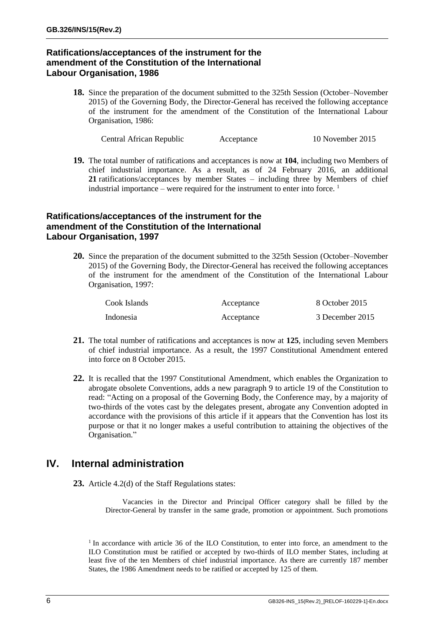# **Ratifications/acceptances of the instrument for the amendment of the Constitution of the International Labour Organisation, 1986**

**18.** Since the preparation of the document submitted to the 325th Session (October–November 2015) of the Governing Body, the Director-General has received the following acceptance of the instrument for the amendment of the Constitution of the International Labour Organisation, 1986:

Central African Republic Acceptance 10 November 2015

**19.** The total number of ratifications and acceptances is now at **104**, including two Members of chief industrial importance. As a result, as of 24 February 2016, an additional **21** ratifications/acceptances by member States – including three by Members of chief industrial importance – were required for the instrument to enter into force.  $\frac{1}{1}$ 

#### **Ratifications/acceptances of the instrument for the amendment of the Constitution of the International Labour Organisation, 1997**

**20.** Since the preparation of the document submitted to the 325th Session (October–November 2015) of the Governing Body, the Director-General has received the following acceptances of the instrument for the amendment of the Constitution of the International Labour Organisation, 1997:

| Cook Islands | Acceptance | 8 October 2015  |
|--------------|------------|-----------------|
| Indonesia    | Acceptance | 3 December 2015 |

- **21.** The total number of ratifications and acceptances is now at **125**, including seven Members of chief industrial importance. As a result, the 1997 Constitutional Amendment entered into force on 8 October 2015.
- **22.** It is recalled that the 1997 Constitutional Amendment, which enables the Organization to abrogate obsolete Conventions, adds a new paragraph 9 to article 19 of the Constitution to read: "Acting on a proposal of the Governing Body, the Conference may, by a majority of two-thirds of the votes cast by the delegates present, abrogate any Convention adopted in accordance with the provisions of this article if it appears that the Convention has lost its purpose or that it no longer makes a useful contribution to attaining the objectives of the Organisation."

# <span id="page-9-0"></span>**IV. Internal administration**

**23.** Article 4.2(d) of the Staff Regulations states:

Vacancies in the Director and Principal Officer category shall be filled by the Director-General by transfer in the same grade, promotion or appointment. Such promotions

<sup>&</sup>lt;sup>1</sup> In accordance with article 36 of the ILO Constitution, to enter into force, an amendment to the ILO Constitution must be ratified or accepted by two-thirds of ILO member States, including at least five of the ten Members of chief industrial importance. As there are currently 187 member States, the 1986 Amendment needs to be ratified or accepted by 125 of them.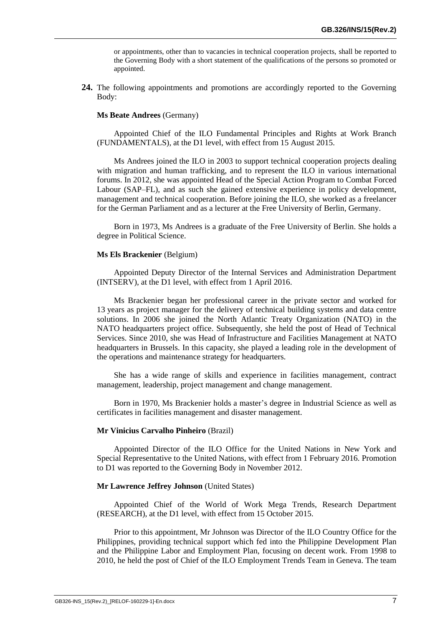or appointments, other than to vacancies in technical cooperation projects, shall be reported to the Governing Body with a short statement of the qualifications of the persons so promoted or appointed.

**24.** The following appointments and promotions are accordingly reported to the Governing Body:

#### **Ms Beate Andrees** (Germany)

Appointed Chief of the ILO Fundamental Principles and Rights at Work Branch (FUNDAMENTALS), at the D1 level, with effect from 15 August 2015.

Ms Andrees joined the ILO in 2003 to support technical cooperation projects dealing with migration and human trafficking, and to represent the ILO in various international forums. In 2012, she was appointed Head of the Special Action Program to Combat Forced Labour (SAP–FL), and as such she gained extensive experience in policy development, management and technical cooperation. Before joining the ILO, she worked as a freelancer for the German Parliament and as a lecturer at the Free University of Berlin, Germany.

Born in 1973, Ms Andrees is a graduate of the Free University of Berlin. She holds a degree in Political Science.

#### **Ms Els Brackenier** (Belgium)

Appointed Deputy Director of the Internal Services and Administration Department (INTSERV), at the D1 level, with effect from 1 April 2016.

Ms Brackenier began her professional career in the private sector and worked for 13 years as project manager for the delivery of technical building systems and data centre solutions. In 2006 she joined the North Atlantic Treaty Organization (NATO) in the NATO headquarters project office. Subsequently, she held the post of Head of Technical Services. Since 2010, she was Head of Infrastructure and Facilities Management at NATO headquarters in Brussels. In this capacity, she played a leading role in the development of the operations and maintenance strategy for headquarters.

She has a wide range of skills and experience in facilities management, contract management, leadership, project management and change management.

Born in 1970, Ms Brackenier holds a master's degree in Industrial Science as well as certificates in facilities management and disaster management.

#### **Mr Vinicius Carvalho Pinheiro** (Brazil)

Appointed Director of the ILO Office for the United Nations in New York and Special Representative to the United Nations, with effect from 1 February 2016. Promotion to D1 was reported to the Governing Body in November 2012.

#### **Mr Lawrence Jeffrey Johnson** (United States)

Appointed Chief of the World of Work Mega Trends, Research Department (RESEARCH), at the D1 level, with effect from 15 October 2015.

Prior to this appointment, Mr Johnson was Director of the ILO Country Office for the Philippines, providing technical support which fed into the Philippine Development Plan and the Philippine Labor and Employment Plan, focusing on decent work. From 1998 to 2010, he held the post of Chief of the ILO Employment Trends Team in Geneva. The team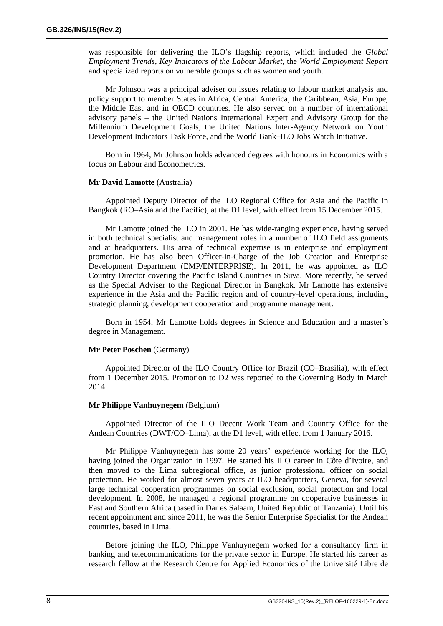was responsible for delivering the ILO's flagship reports, which included the *Global Employment Trends*, *Key Indicators of the Labour Market*, the *World Employment Report* and specialized reports on vulnerable groups such as women and youth.

Mr Johnson was a principal adviser on issues relating to labour market analysis and policy support to member States in Africa, Central America, the Caribbean, Asia, Europe, the Middle East and in OECD countries. He also served on a number of international advisory panels – the United Nations International Expert and Advisory Group for the Millennium Development Goals, the United Nations Inter-Agency Network on Youth Development Indicators Task Force, and the World Bank–ILO Jobs Watch Initiative.

Born in 1964, Mr Johnson holds advanced degrees with honours in Economics with a focus on Labour and Econometrics.

#### **Mr David Lamotte** (Australia)

Appointed Deputy Director of the ILO Regional Office for Asia and the Pacific in Bangkok (RO–Asia and the Pacific), at the D1 level, with effect from 15 December 2015.

Mr Lamotte joined the ILO in 2001. He has wide-ranging experience, having served in both technical specialist and management roles in a number of ILO field assignments and at headquarters. His area of technical expertise is in enterprise and employment promotion. He has also been Officer-in-Charge of the Job Creation and Enterprise Development Department (EMP/ENTERPRISE). In 2011, he was appointed as ILO Country Director covering the Pacific Island Countries in Suva. More recently, he served as the Special Adviser to the Regional Director in Bangkok. Mr Lamotte has extensive experience in the Asia and the Pacific region and of country-level operations, including strategic planning, development cooperation and programme management.

Born in 1954, Mr Lamotte holds degrees in Science and Education and a master's degree in Management.

#### **Mr Peter Poschen** (Germany)

Appointed Director of the ILO Country Office for Brazil (CO–Brasilia), with effect from 1 December 2015. Promotion to D2 was reported to the Governing Body in March 2014.

#### **Mr Philippe Vanhuynegem** (Belgium)

Appointed Director of the ILO Decent Work Team and Country Office for the Andean Countries (DWT/CO–Lima), at the D1 level, with effect from 1 January 2016.

Mr Philippe Vanhuynegem has some 20 years' experience working for the ILO, having joined the Organization in 1997. He started his ILO career in Côte d'Ivoire, and then moved to the Lima subregional office, as junior professional officer on social protection. He worked for almost seven years at ILO headquarters, Geneva, for several large technical cooperation programmes on social exclusion, social protection and local development. In 2008, he managed a regional programme on cooperative businesses in East and Southern Africa (based in Dar es Salaam, United Republic of Tanzania). Until his recent appointment and since 2011, he was the Senior Enterprise Specialist for the Andean countries, based in Lima.

Before joining the ILO, Philippe Vanhuynegem worked for a consultancy firm in banking and telecommunications for the private sector in Europe. He started his career as research fellow at the Research Centre for Applied Economics of the Université Libre de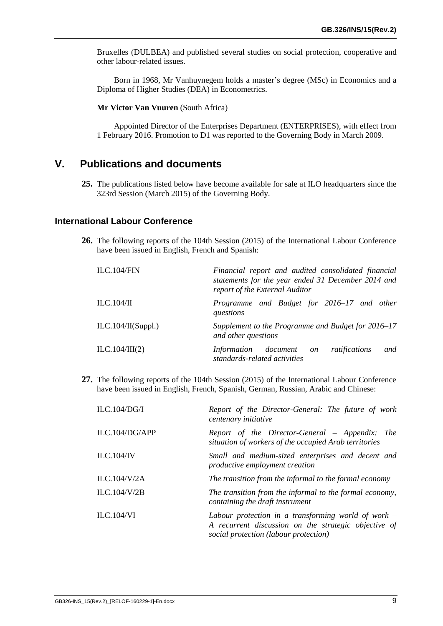Bruxelles (DULBEA) and published several studies on social protection, cooperative and other labour-related issues.

Born in 1968, Mr Vanhuynegem holds a master's degree (MSc) in Economics and a Diploma of Higher Studies (DEA) in Econometrics.

**Mr Victor Van Vuuren** (South Africa)

Appointed Director of the Enterprises Department (ENTERPRISES), with effect from 1 February 2016. Promotion to D1 was reported to the Governing Body in March 2009.

# <span id="page-12-0"></span>**V. Publications and documents**

**25.** The publications listed below have become available for sale at ILO headquarters since the 323rd Session (March 2015) of the Governing Body.

#### **International Labour Conference**

**26.** The following reports of the 104th Session (2015) of the International Labour Conference have been issued in English, French and Spanish:

| ILC.104/FIN        | Financial report and audited consolidated financial<br>statements for the year ended 31 December 2014 and<br>report of the External Auditor |  |  |  |  |  |  |
|--------------------|---------------------------------------------------------------------------------------------------------------------------------------------|--|--|--|--|--|--|
| ILC.104/II         | Programme and Budget for 2016–17 and other<br>questions                                                                                     |  |  |  |  |  |  |
| ILC.104/II(Suppl.) | Supplement to the Programme and Budget for 2016–17<br>and other questions                                                                   |  |  |  |  |  |  |
| ILC.104/III(2)     | and<br>ratifications<br>Information<br>document on<br>standards-related activities                                                          |  |  |  |  |  |  |

**27.** The following reports of the 104th Session (2015) of the International Labour Conference have been issued in English, French, Spanish, German, Russian, Arabic and Chinese:

| ILC.104/DG/I      | Report of the Director-General: The future of work<br>centenary initiative                                                                             |
|-------------------|--------------------------------------------------------------------------------------------------------------------------------------------------------|
| ILC.104/DG/APP    | Report of the Director-General – Appendix: The<br>situation of workers of the occupied Arab territories                                                |
| ILC.104/IV        | Small and medium-sized enterprises and decent and<br><i>productive employment creation</i>                                                             |
| ILC.104/V/2A      | The transition from the informal to the formal economy                                                                                                 |
| ILC.104/V/2B      | The transition from the informal to the formal economy,<br>containing the draft instrument                                                             |
| <b>ILC.104/VI</b> | Labour protection in a transforming world of work $-$<br>A recurrent discussion on the strategic objective of<br>social protection (labour protection) |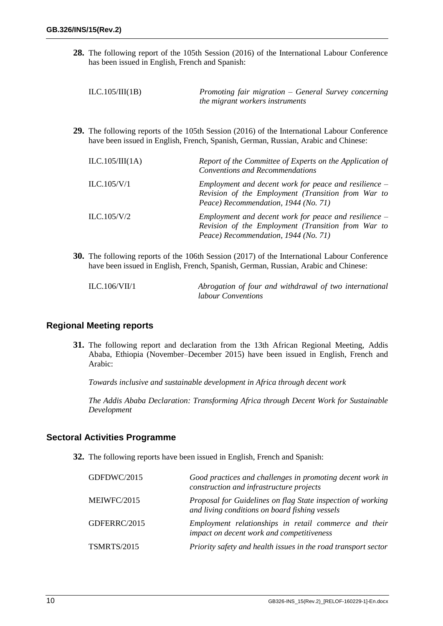**28.** The following report of the 105th Session (2016) of the International Labour Conference has been issued in English, French and Spanish:

| ILC.105/III(1B) | Promoting fair migration – General Survey concerning |
|-----------------|------------------------------------------------------|
|                 | the migrant workers instruments                      |

**29.** The following reports of the 105th Session (2016) of the International Labour Conference have been issued in English, French, Spanish, German, Russian, Arabic and Chinese:

| ILC.105/III(1A) | Report of the Committee of Experts on the Application of<br><b>Conventions and Recommendations</b>                                                    |
|-----------------|-------------------------------------------------------------------------------------------------------------------------------------------------------|
| ILC.105/V/1     | Employment and decent work for peace and resilience $-$<br>Revision of the Employment (Transition from War to<br>Peace) Recommendation, 1944 (No. 71) |
| ILC.105/V/2     | Employment and decent work for peace and resilience $-$<br>Revision of the Employment (Transition from War to<br>Peace) Recommendation, 1944 (No. 71) |

**30.** The following reports of the 106th Session (2017) of the International Labour Conference have been issued in English, French, Spanish, German, Russian, Arabic and Chinese:

| ILC.106/VII/1 | Abrogation of four and withdrawal of two international |  |
|---------------|--------------------------------------------------------|--|
|               | <i>labour Conventions</i>                              |  |

#### **Regional Meeting reports**

**31.** The following report and declaration from the 13th African Regional Meeting, Addis Ababa, Ethiopia (November–December 2015) have been issued in English, French and Arabic:

*Towards inclusive and sustainable development in Africa through decent work*

*The Addis Ababa Declaration: Transforming Africa through Decent Work for Sustainable Development*

#### **Sectoral Activities Programme**

**32.** The following reports have been issued in English, French and Spanish:

| GDFDWC/2015        | Good practices and challenges in promoting decent work in<br>construction and infrastructure projects         |
|--------------------|---------------------------------------------------------------------------------------------------------------|
| MEIWFC/2015        | Proposal for Guidelines on flag State inspection of working<br>and living conditions on board fishing vessels |
| GDFERRC/2015       | Employment relationships in retail commerce and their<br>impact on decent work and competitiveness            |
| <b>TSMRTS/2015</b> | Priority safety and health issues in the road transport sector                                                |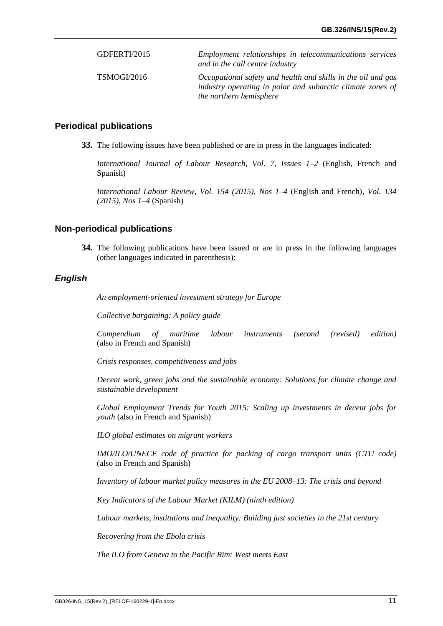| GDFERTI/2015 | Employment relationships in telecommunications services<br>and in the call centre industry                                                            |
|--------------|-------------------------------------------------------------------------------------------------------------------------------------------------------|
| TSMOGI/2016  | Occupational safety and health and skills in the oil and gas<br>industry operating in polar and subarctic climate zones of<br>the northern hemisphere |

#### **Periodical publications**

**33.** The following issues have been published or are in press in the languages indicated:

*International Journal of Labour Research, Vol. 7, Issues 1–2* (English, French and Spanish)

*International Labour Review, Vol. 154 (2015), Nos 1–4* (English and French)*, Vol. 134 (2015), Nos 1–4* (Spanish)

#### **Non-periodical publications**

**34.** The following publications have been issued or are in press in the following languages (other languages indicated in parenthesis):

#### *English*

*An employment-oriented investment strategy for Europe*

*Collective bargaining: A policy guide*

*Compendium of maritime labour instruments (second (revised) edition)* (also in French and Spanish)

*Crisis responses, competitiveness and jobs*

*Decent work, green jobs and the sustainable economy: Solutions for climate change and sustainable development*

*Global Employment Trends for Youth 2015: Scaling up investments in decent jobs for youth* (also in French and Spanish)

*ILO global estimates on migrant workers*

*IMO/ILO/UNECE code of practice for packing of cargo transport units (CTU code)* (also in French and Spanish)

*Inventory of labour market policy measures in the EU 2008–13: The crisis and beyond*

*Key Indicators of the Labour Market (KILM) (ninth edition)*

*Labour markets, institutions and inequality: Building just societies in the 21st century*

*Recovering from the Ebola crisis*

*The ILO from Geneva to the Pacific Rim: West meets East*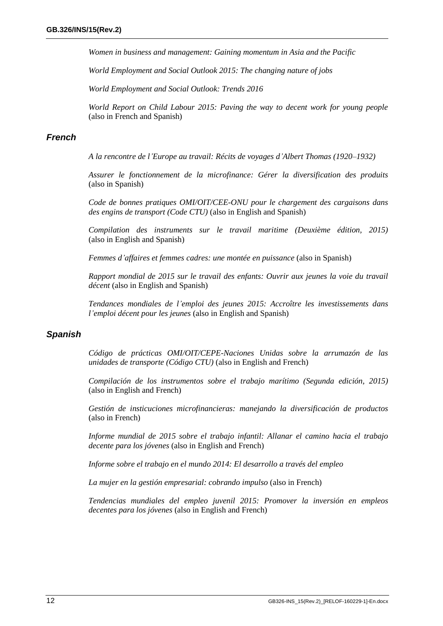*Women in business and management: Gaining momentum in Asia and the Pacific*

*World Employment and Social Outlook 2015: The changing nature of jobs*

*World Employment and Social Outlook: Trends 2016*

*World Report on Child Labour 2015: Paving the way to decent work for young people*  (also in French and Spanish)

#### *French*

*A la rencontre de l'Europe au travail: Récits de voyages d'Albert Thomas (1920–1932)*

*Assurer le fonctionnement de la microfinance: Gérer la diversification des produits* (also in Spanish)

*Code de bonnes pratiques OMI/OIT/CEE-ONU pour le chargement des cargaisons dans des engins de transport (Code CTU)* (also in English and Spanish)

*Compilation des instruments sur le travail maritime (Deuxième édition, 2015)*  (also in English and Spanish)

*Femmes d'affaires et femmes cadres: une montée en puissance* (also in Spanish)

*Rapport mondial de 2015 sur le travail des enfants: Ouvrir aux jeunes la voie du travail décent* (also in English and Spanish)

*Tendances mondiales de l'emploi des jeunes 2015: Accroître les investissements dans l'emploi décent pour les jeunes* (also in English and Spanish)

#### *Spanish*

*Código de prácticas OMI/OIT/CEPE-Naciones Unidas sobre la arrumazón de las unidades de transporte (Código CTU)* (also in English and French)

*Compilación de los instrumentos sobre el trabajo marítimo (Segunda edición, 2015)*  (also in English and French)

*Gestión de insticuciones microfinancieras: manejando la diversificación de productos*  (also in French)

*Informe mundial de 2015 sobre el trabajo infantil: Allanar el camino hacia el trabajo decente para los jóvenes* (also in English and French)

*Informe sobre el trabajo en el mundo 2014: El desarrollo a través del empleo* 

*La mujer en la gestión empresarial: cobrando impulso* (also in French)

*Tendencias mundiales del empleo juvenil 2015: Promover la inversión en empleos decentes para los jóvenes* (also in English and French)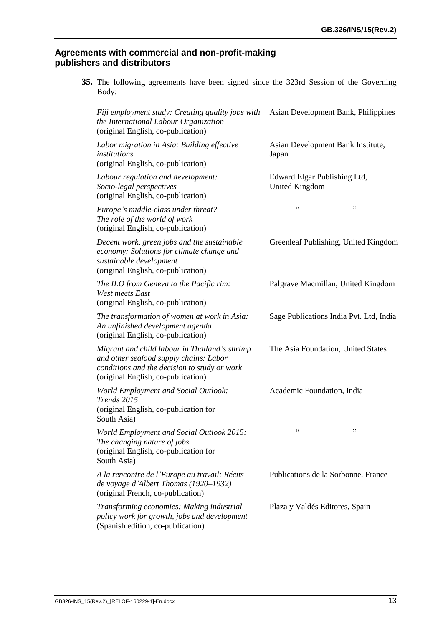### **Agreements with commercial and non-profit-making publishers and distributors**

|       | 35. The following agreements have been signed since the 323rd Session of the Governing |  |  |  |  |  |
|-------|----------------------------------------------------------------------------------------|--|--|--|--|--|
| Body: |                                                                                        |  |  |  |  |  |

| Fiji employment study: Creating quality jobs with<br>the International Labour Organization<br>(original English, co-publication)                                              | Asian Development Bank, Philippines                   |
|-------------------------------------------------------------------------------------------------------------------------------------------------------------------------------|-------------------------------------------------------|
| Labor migration in Asia: Building effective<br>institutions<br>(original English, co-publication)                                                                             | Asian Development Bank Institute,<br>Japan            |
| Labour regulation and development:<br>Socio-legal perspectives<br>(original English, co-publication)                                                                          | Edward Elgar Publishing Ltd,<br><b>United Kingdom</b> |
| Europe's middle-class under threat?<br>The role of the world of work<br>(original English, co-publication)                                                                    | $\zeta$ $\zeta$<br>,,                                 |
| Decent work, green jobs and the sustainable<br>economy: Solutions for climate change and<br>sustainable development<br>(original English, co-publication)                     | Greenleaf Publishing, United Kingdom                  |
| The ILO from Geneva to the Pacific rim:<br>West meets East<br>(original English, co-publication)                                                                              | Palgrave Macmillan, United Kingdom                    |
| The transformation of women at work in Asia:<br>An unfinished development agenda<br>(original English, co-publication)                                                        | Sage Publications India Pvt. Ltd, India               |
| Migrant and child labour in Thailand's shrimp<br>and other seafood supply chains: Labor<br>conditions and the decision to study or work<br>(original English, co-publication) | The Asia Foundation, United States                    |
| <b>World Employment and Social Outlook:</b><br>Trends 2015<br>(original English, co-publication for<br>South Asia)                                                            | Academic Foundation, India                            |
| World Employment and Social Outlook 2015:<br>The changing nature of jobs<br>(original English, co-publication for<br>South Asia)                                              | $\zeta$ $\zeta$<br>$, \,$                             |
| A la rencontre de l'Europe au travail: Récits<br>de voyage d'Albert Thomas (1920-1932)<br>(original French, co-publication)                                                   | Publications de la Sorbonne, France                   |
| Transforming economies: Making industrial<br>policy work for growth, jobs and development<br>(Spanish edition, co-publication)                                                | Plaza y Valdés Editores, Spain                        |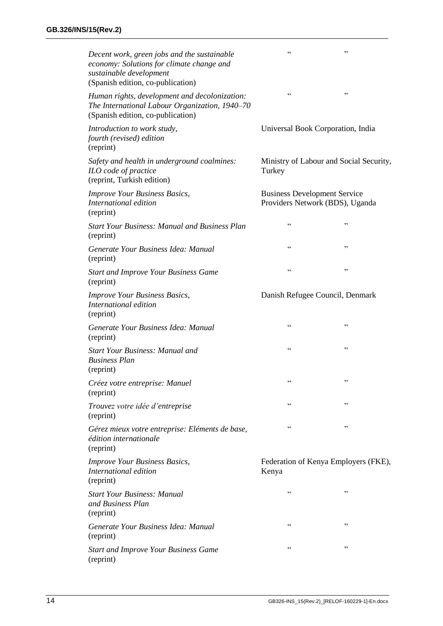| Decent work, green jobs and the sustainable<br>economy: Solutions for climate change and<br>sustainable development<br>(Spanish edition, co-publication) | $\zeta$ $\zeta$                                                        | ,,                                      |  |  |
|----------------------------------------------------------------------------------------------------------------------------------------------------------|------------------------------------------------------------------------|-----------------------------------------|--|--|
| Human rights, development and decolonization:<br>The International Labour Organization, 1940-70<br>(Spanish edition, co-publication)                     | C                                                                      | ,,                                      |  |  |
| Introduction to work study,<br>fourth (revised) edition<br>(reprint)                                                                                     | Universal Book Corporation, India                                      |                                         |  |  |
| Safety and health in underground coalmines:<br>ILO code of practice<br>(reprint, Turkish edition)                                                        | Turkey                                                                 | Ministry of Labour and Social Security, |  |  |
| <b>Improve Your Business Basics,</b><br>International edition<br>(reprint)                                                                               | <b>Business Development Service</b><br>Providers Network (BDS), Uganda |                                         |  |  |
| <b>Start Your Business: Manual and Business Plan</b><br>(reprint)                                                                                        | $\zeta$ $\zeta$                                                        | ,,                                      |  |  |
| Generate Your Business Idea: Manual<br>(reprint)                                                                                                         | $\zeta$ $\zeta$                                                        | ,,                                      |  |  |
| <b>Start and Improve Your Business Game</b><br>(reprint)                                                                                                 | $\zeta$ $\zeta$                                                        | ,,                                      |  |  |
| <b>Improve Your Business Basics,</b><br>International edition<br>(reprint)                                                                               | Danish Refugee Council, Denmark                                        |                                         |  |  |
| Generate Your Business Idea: Manual<br>(reprint)                                                                                                         | $\zeta$ $\zeta$                                                        | ,,                                      |  |  |
| <b>Start Your Business: Manual and</b><br><b>Business Plan</b><br>(reprint)                                                                              | $\zeta$ $\zeta$                                                        | , 2, 3                                  |  |  |
| Créez votre entreprise: Manuel<br>(reprint)                                                                                                              |                                                                        |                                         |  |  |
| Trouvez votre idée d'entreprise<br>(reprint)                                                                                                             | $\zeta$ $\zeta$                                                        | ,,                                      |  |  |
| Gérez mieux votre entreprise: Eléments de base,<br>édition internationale<br>(reprint)                                                                   | $\zeta$ $\zeta$                                                        | ,,                                      |  |  |
| <b>Improve Your Business Basics,</b><br>International edition<br>(reprint)                                                                               | Kenya                                                                  | Federation of Kenya Employers (FKE),    |  |  |
| <b>Start Your Business: Manual</b><br>and Business Plan<br>(reprint)                                                                                     | $\zeta$ $\zeta$                                                        | ,,                                      |  |  |
| Generate Your Business Idea: Manual<br>(reprint)                                                                                                         | $\zeta$ $\zeta$                                                        | ,,                                      |  |  |
| <b>Start and Improve Your Business Game</b><br>(reprint)                                                                                                 | $\zeta$ $\zeta$                                                        | ,,                                      |  |  |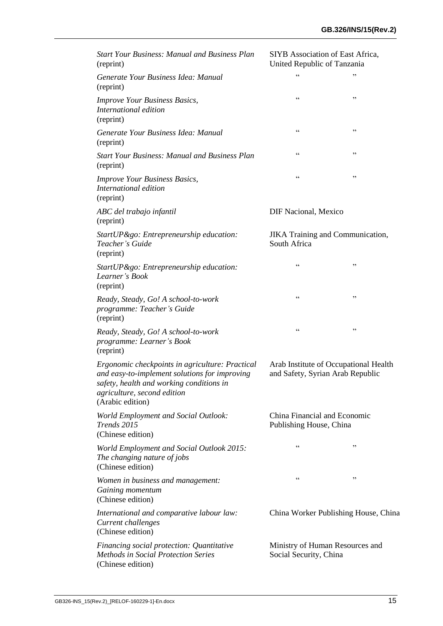| <b>Start Your Business: Manual and Business Plan</b><br>(reprint)                                                                                                                               | SIYB Association of East Africa,<br>United Republic of Tanzania           |        |
|-------------------------------------------------------------------------------------------------------------------------------------------------------------------------------------------------|---------------------------------------------------------------------------|--------|
| Generate Your Business Idea: Manual<br>(reprint)                                                                                                                                                | $\zeta$ $\zeta$                                                           | ,,     |
| <b>Improve Your Business Basics,</b><br>International edition<br>(reprint)                                                                                                                      | $\zeta$ $\zeta$                                                           | $, \,$ |
| Generate Your Business Idea: Manual<br>(reprint)                                                                                                                                                | $\zeta$ $\zeta$                                                           | ,,     |
| <b>Start Your Business: Manual and Business Plan</b><br>(reprint)                                                                                                                               | $\zeta$ $\zeta$                                                           | , 2, 3 |
| <b>Improve Your Business Basics,</b><br>International edition<br>(reprint)                                                                                                                      | $\zeta$ $\zeta$                                                           | ,,     |
| ABC del trabajo infantil<br>(reprint)                                                                                                                                                           | <b>DIF Nacional, Mexico</b>                                               |        |
| StartUP&go: Entrepreneurship education:<br>Teacher's Guide<br>(reprint)                                                                                                                         | <b>JIKA</b> Training and Communication,<br>South Africa                   |        |
| StartUP&go: Entrepreneurship education:<br>Learner's Book<br>(reprint)                                                                                                                          | $\zeta$ $\zeta$                                                           | ,,     |
| Ready, Steady, Go! A school-to-work<br>programme: Teacher's Guide<br>(reprint)                                                                                                                  | $\zeta$ $\zeta$                                                           | ,,     |
| Ready, Steady, Go! A school-to-work<br>programme: Learner's Book<br>(reprint)                                                                                                                   | $\zeta$ $\zeta$                                                           | ,,     |
| Ergonomic checkpoints in agriculture: Practical<br>and easy-to-implement solutions for improving<br>safety, health and working conditions in<br>agriculture, second edition<br>(Arabic edition) | Arab Institute of Occupational Health<br>and Safety, Syrian Arab Republic |        |
| World Employment and Social Outlook:<br>Trends 2015<br>(Chinese edition)                                                                                                                        | China Financial and Economic<br>Publishing House, China                   |        |
| World Employment and Social Outlook 2015:<br>The changing nature of jobs<br>(Chinese edition)                                                                                                   | $\zeta$ $\zeta$                                                           | ,,     |
| Women in business and management:<br>Gaining momentum<br>(Chinese edition)                                                                                                                      | $\zeta$ $\zeta$                                                           | ,,     |
| International and comparative labour law:<br>Current challenges<br>(Chinese edition)                                                                                                            | China Worker Publishing House, China                                      |        |
| Financing social protection: Quantitative<br><b>Methods in Social Protection Series</b><br>(Chinese edition)                                                                                    | Ministry of Human Resources and<br>Social Security, China                 |        |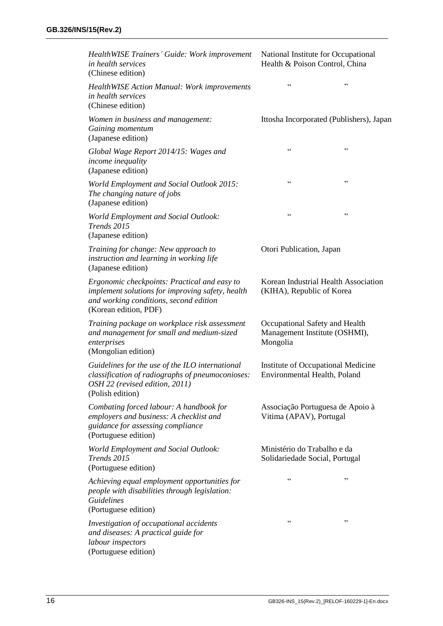| HealthWISE Trainers' Guide: Work improvement<br>in health services<br>(Chinese edition)                                                                             | National Institute for Occupational<br>Health & Poison Control, China       |        |
|---------------------------------------------------------------------------------------------------------------------------------------------------------------------|-----------------------------------------------------------------------------|--------|
| <b>HealthWISE Action Manual: Work improvements</b><br>in health services<br>(Chinese edition)                                                                       | $\zeta$ $\zeta$                                                             | ,,     |
| Women in business and management:<br>Gaining momentum<br>(Japanese edition)                                                                                         | Ittosha Incorporated (Publishers), Japan                                    |        |
| Global Wage Report 2014/15: Wages and<br>income inequality<br>(Japanese edition)                                                                                    | $\zeta$ $\zeta$                                                             | ,,     |
| World Employment and Social Outlook 2015:<br>The changing nature of jobs<br>(Japanese edition)                                                                      | $\zeta$ $\zeta$                                                             | ,,     |
| World Employment and Social Outlook:<br>Trends 2015<br>(Japanese edition)                                                                                           | $\zeta$ $\zeta$                                                             | ,,     |
| Training for change: New approach to<br>instruction and learning in working life<br>(Japanese edition)                                                              | Otori Publication, Japan                                                    |        |
| Ergonomic checkpoints: Practical and easy to<br>implement solutions for improving safety, health<br>and working conditions, second edition<br>(Korean edition, PDF) | Korean Industrial Health Association<br>(KIHA), Republic of Korea           |        |
| Training package on workplace risk assessment<br>and management for small and medium-sized<br>enterprises<br>(Mongolian edition)                                    | Occupational Safety and Health<br>Management Institute (OSHMI),<br>Mongolia |        |
| Guidelines for the use of the ILO international<br>classification of radiographs of pneumoconioses:<br>OSH 22 (revised edition, 2011)<br>(Polish edition)           | Institute of Occupational Medicine<br>Environmental Health, Poland          |        |
| Combating forced labour: A handbook for<br>employers and business: A checklist and<br>guidance for assessing compliance<br>(Portuguese edition)                     | Associação Portuguesa de Apoio à<br>Vitima (APAV), Portugal                 |        |
| <b>World Employment and Social Outlook:</b><br>Trends 2015<br>(Portuguese edition)                                                                                  | Ministério do Trabalho e da<br>Solidariedade Social, Portugal               |        |
| Achieving equal employment opportunities for<br>people with disabilities through legislation:<br><b>Guidelines</b><br>(Portuguese edition)                          | $\zeta$ $\zeta$                                                             | ,,     |
| Investigation of occupational accidents<br>and diseases: A practical guide for<br>labour inspectors<br>(Portuguese edition)                                         | $\zeta$ $\zeta$                                                             | $, \,$ |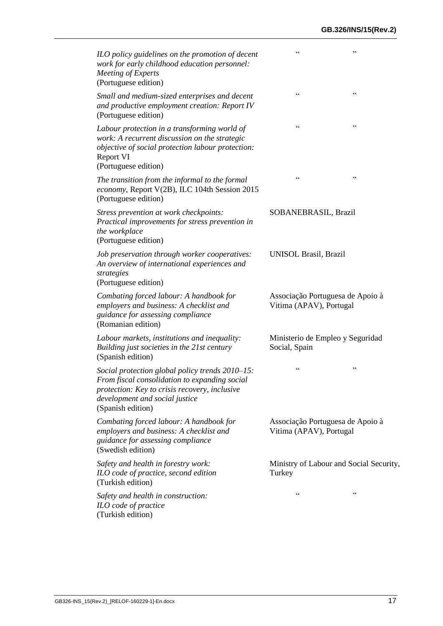| ILO policy guidelines on the promotion of decent<br>work for early childhood education personnel:<br>Meeting of Experts<br>(Portuguese edition)                                                          | $\zeta$ $\zeta$<br>,,                                       |  |
|----------------------------------------------------------------------------------------------------------------------------------------------------------------------------------------------------------|-------------------------------------------------------------|--|
| Small and medium-sized enterprises and decent<br>and productive employment creation: Report IV<br>(Portuguese edition)                                                                                   | $\zeta$ $\zeta$<br>,,                                       |  |
| Labour protection in a transforming world of<br>work: A recurrent discussion on the strategic<br>objective of social protection labour protection:<br>Report VI<br>(Portuguese edition)                  | $\zeta$ $\zeta$<br>,,                                       |  |
| The transition from the informal to the formal<br>economy, Report V(2B), ILC 104th Session 2015<br>(Portuguese edition)                                                                                  | $\zeta$ $\zeta$<br>,,                                       |  |
| Stress prevention at work checkpoints:<br>Practical improvements for stress prevention in<br>the workplace<br>(Portuguese edition)                                                                       | SOBANEBRASIL, Brazil                                        |  |
| Job preservation through worker cooperatives:<br>An overview of international experiences and<br>strategies<br>(Portuguese edition)                                                                      | UNISOL Brasil, Brazil                                       |  |
| Combating forced labour: A handbook for<br>employers and business: A checklist and<br>guidance for assessing compliance<br>(Romanian edition)                                                            | Associação Portuguesa de Apoio à<br>Vitima (APAV), Portugal |  |
| Labour markets, institutions and inequality:<br>Building just societies in the 21st century<br>(Spanish edition)                                                                                         | Ministerio de Empleo y Seguridad<br>Social, Spain           |  |
| Social protection global policy trends 2010–15:<br>From fiscal consolidation to expanding social<br>protection: Key to crisis recovery, inclusive<br>development and social justice<br>(Spanish edition) | C C<br>,,                                                   |  |
| Combating forced labour: A handbook for<br>employers and business: A checklist and<br>guidance for assessing compliance<br>(Swedish edition)                                                             | Associação Portuguesa de Apoio à<br>Vitima (APAV), Portugal |  |
| Safety and health in forestry work:<br>ILO code of practice, second edition<br>(Turkish edition)                                                                                                         | Ministry of Labour and Social Security,<br>Turkey           |  |
| Safety and health in construction:<br>ILO code of practice<br>(Turkish edition)                                                                                                                          | C C<br>, 2, 3                                               |  |